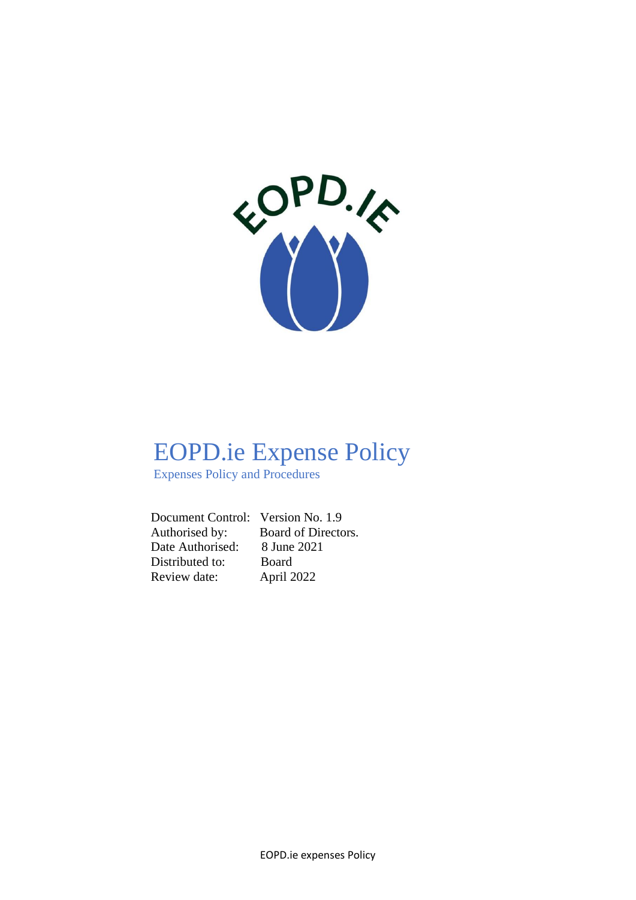

# EOPD.ie Expense Policy

Expenses Policy and Procedures

 Document Control: Version No. 1.9 Authorised by: Board of Directors. Date Authorised: 8 June 2021 Distributed to: Board Review date: April 2022

EOPD.ie expenses Policy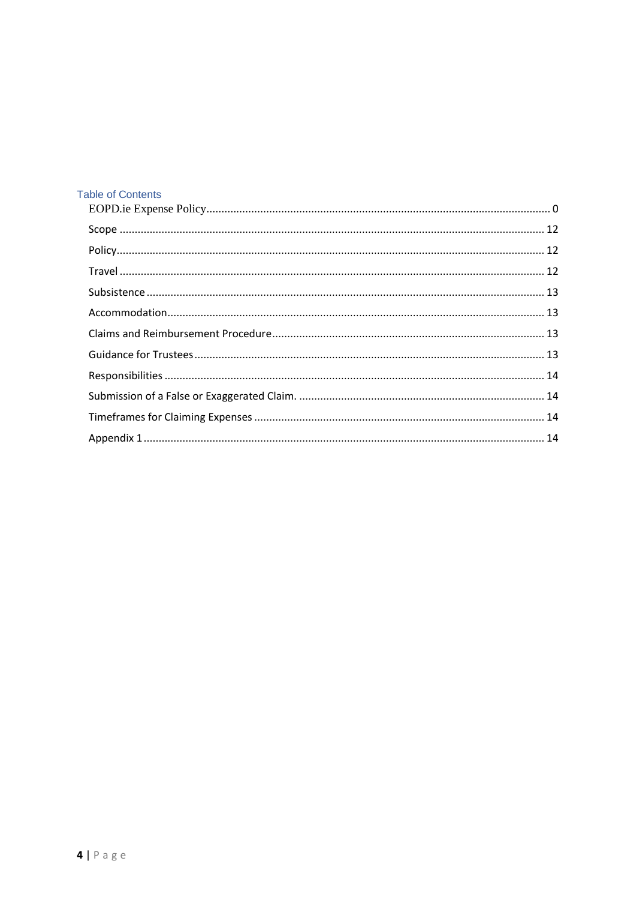## **Table of Contents**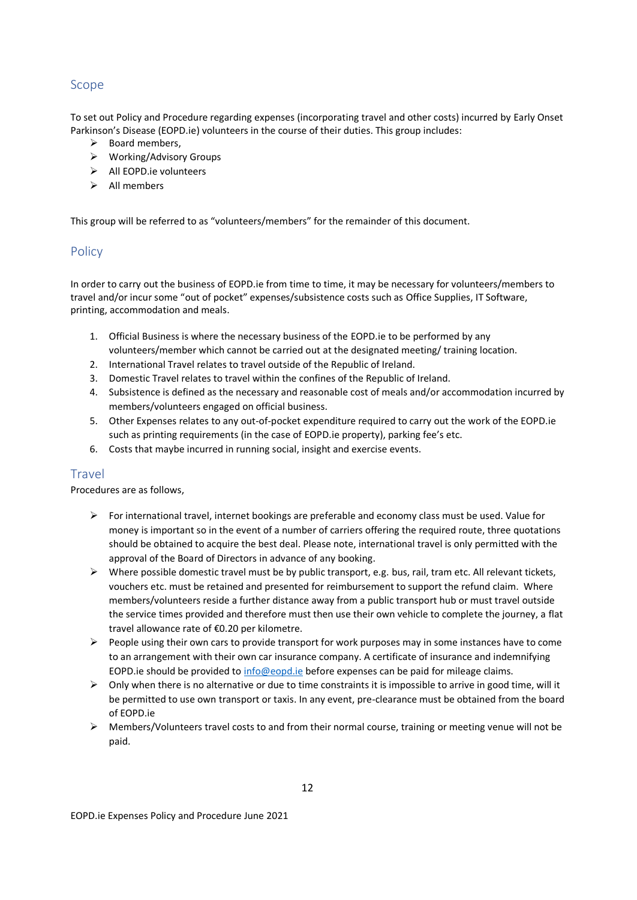## <span id="page-2-0"></span>Scope

To set out Policy and Procedure regarding expenses (incorporating travel and other costs) incurred by Early Onset Parkinson's Disease (EOPD.ie) volunteers in the course of their duties. This group includes:

- $\triangleright$  Board members.
- ➢ Working/Advisory Groups
- ➢ All EOPD.ie volunteers
- ➢ All members

This group will be referred to as "volunteers/members" for the remainder of this document.

## <span id="page-2-1"></span>**Policy**

In order to carry out the business of EOPD.ie from time to time, it may be necessary for volunteers/members to travel and/or incur some "out of pocket" expenses/subsistence costs such as Office Supplies, IT Software, printing, accommodation and meals.

- 1. Official Business is where the necessary business of the EOPD.ie to be performed by any volunteers/member which cannot be carried out at the designated meeting/ training location.
- 2. International Travel relates to travel outside of the Republic of Ireland.
- 3. Domestic Travel relates to travel within the confines of the Republic of Ireland.
- 4. Subsistence is defined as the necessary and reasonable cost of meals and/or accommodation incurred by members/volunteers engaged on official business.
- 5. Other Expenses relates to any out-of-pocket expenditure required to carry out the work of the EOPD.ie such as printing requirements (in the case of EOPD.ie property), parking fee's etc.
- 6. Costs that maybe incurred in running social, insight and exercise events.

### <span id="page-2-2"></span>Travel

Procedures are as follows,

- ➢ For international travel, internet bookings are preferable and economy class must be used. Value for money is important so in the event of a number of carriers offering the required route, three quotations should be obtained to acquire the best deal. Please note, international travel is only permitted with the approval of the Board of Directors in advance of any booking.
- $\triangleright$  Where possible domestic travel must be by public transport, e.g. bus, rail, tram etc. All relevant tickets, vouchers etc. must be retained and presented for reimbursement to support the refund claim. Where members/volunteers reside a further distance away from a public transport hub or must travel outside the service times provided and therefore must then use their own vehicle to complete the journey, a flat travel allowance rate of €0.20 per kilometre.
- $\triangleright$  People using their own cars to provide transport for work purposes may in some instances have to come to an arrangement with their own car insurance company. A certificate of insurance and indemnifying EOPD.ie should be provided to [info@eopd.ie](mailto:info@eopd.ie) before expenses can be paid for mileage claims.
- ➢ Only when there is no alternative or due to time constraints it is impossible to arrive in good time, will it be permitted to use own transport or taxis. In any event, pre-clearance must be obtained from the board of EOPD.ie
- $\triangleright$  Members/Volunteers travel costs to and from their normal course, training or meeting venue will not be paid.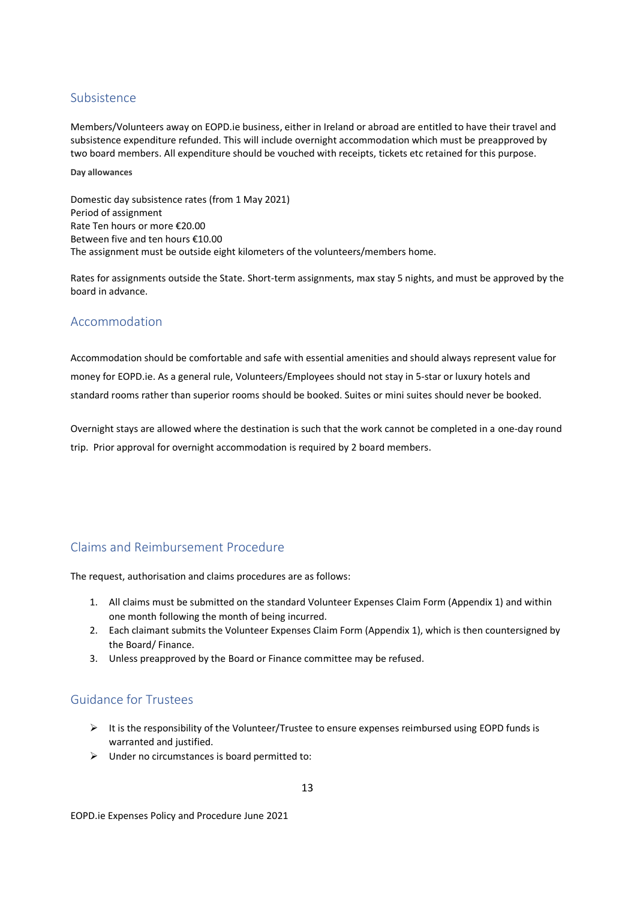#### <span id="page-3-0"></span>Subsistence

Members/Volunteers away on EOPD.ie business, either in Ireland or abroad are entitled to have their travel and subsistence expenditure refunded. This will include overnight accommodation which must be preapproved by two board members. All expenditure should be vouched with receipts, tickets etc retained for this purpose.

**Day allowances**

Domestic day subsistence rates (from 1 May 2021) Period of assignment Rate Ten hours or more €20.00 Between five and ten hours €10.00 The assignment must be outside eight kilometers of the volunteers/members home.

Rates for assignments outside the State. Short-term assignments, max stay 5 nights, and must be approved by the board in advance.

## <span id="page-3-1"></span>Accommodation

Accommodation should be comfortable and safe with essential amenities and should always represent value for money for EOPD.ie. As a general rule, Volunteers/Employees should not stay in 5-star or luxury hotels and standard rooms rather than superior rooms should be booked. Suites or mini suites should never be booked.

Overnight stays are allowed where the destination is such that the work cannot be completed in a one-day round trip. Prior approval for overnight accommodation is required by 2 board members.

## <span id="page-3-2"></span>Claims and Reimbursement Procedure

The request, authorisation and claims procedures are as follows:

- 1. All claims must be submitted on the standard Volunteer Expenses Claim Form (Appendix 1) and within one month following the month of being incurred.
- 2. Each claimant submits the Volunteer Expenses Claim Form (Appendix 1), which is then countersigned by the Board/ Finance.
- 3. Unless preapproved by the Board or Finance committee may be refused.

## <span id="page-3-3"></span>Guidance for Trustees

- $\triangleright$  It is the responsibility of the Volunteer/Trustee to ensure expenses reimbursed using EOPD funds is warranted and justified.
- ➢ Under no circumstances is board permitted to:

13

EOPD.ie Expenses Policy and Procedure June 2021